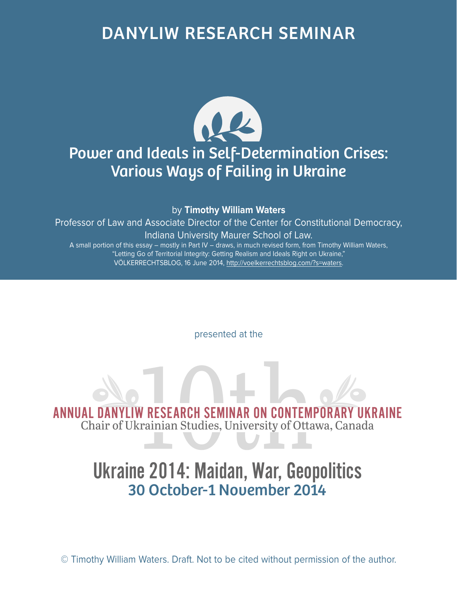## DANYLIW RESEARCH SEMINAR



by **Timothy William Waters**

Professor of Law and Associate Director of the Center for Constitutional Democracy, Indiana University Maurer School of Law. A small portion of this essay – mostly in Part IV – draws, in much revised form, from Timothy William Waters,

"Letting Go of Territorial Integrity: Getting Realism and Ideals Right on Ukraine," VÖLKERRECHTSBLOG, 16 June 2014, http://voelkerrechtsblog.com/?s=waters.

presented at the

ANNUAL DANYLIW RESEARCH SEMINAR ON CONTEMPORARY UKRAINE<br>Chair of Ukrainian Studies, University of Ottawa, Canada Chair of Ukrainian Studies, University of Ottawa, Canada

# Ukraine 2014: Maidan, War, Geopolitics 30 October-1 November 2014

© Timothy William Waters. Draft. Not to be cited without permission of the author.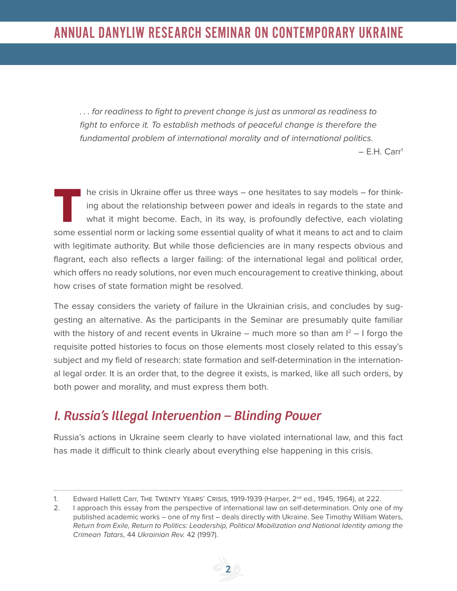. . . for readiness to fight to prevent change is just as unmoral as readiness to fight to enforce it. To establish methods of peaceful change is therefore the fundamental problem of international morality and of international politics.

– E.H. Carr1

**T**he crisis in Ukraine offer us three ways – one hesitates to say models – for thinking about the relationship between power and ideals in regards to the state and what it might become. Each, in its way, is profoundly defective, each violating some essential norm or lacking some essential quality of what it means to act and to claim with legitimate authority. But while those deficiencies are in many respects obvious and flagrant, each also reflects a larger failing: of the international legal and political order, which offers no ready solutions, nor even much encouragement to creative thinking, about how crises of state formation might be resolved.

The essay considers the variety of failure in the Ukrainian crisis, and concludes by suggesting an alternative. As the participants in the Seminar are presumably quite familiar with the history of and recent events in Ukraine – much more so than am  $I^2$  – I forgo the requisite potted histories to focus on those elements most closely related to this essay's subject and my field of research: state formation and self-determination in the international legal order. It is an order that, to the degree it exists, is marked, like all such orders, by both power and morality, and must express them both.

## *I. Russia's Illegal Intervention – Blinding Power*

Russia's actions in Ukraine seem clearly to have violated international law, and this fact has made it difficult to think clearly about everything else happening in this crisis.

<sup>. . . . . . . . . . . . . .</sup> 1. Edward Hallett Carr, THE TWENTY YEARS' CRISIS, 1919-1939 (Harper, 2<sup>nd</sup> ed., 1945, 1964), at 222.

<sup>2.</sup> I approach this essay from the perspective of international law on self-determination. Only one of my published academic works – one of my first – deals directly with Ukraine. See Timothy William Waters, Return from Exile, Return to Politics: Leadership, Political Mobilization and National Identity among the Crimean Tatars, 44 Ukrainian Rev. 42 (1997).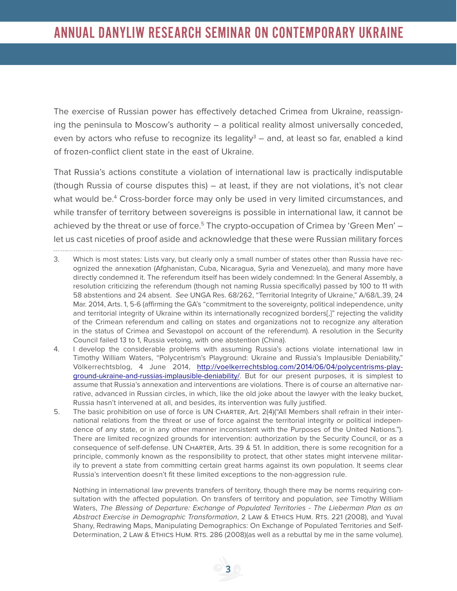The exercise of Russian power has effectively detached Crimea from Ukraine, reassigning the peninsula to Moscow's authority – a political reality almost universally conceded, even by actors who refuse to recognize its legality<sup>3</sup> – and, at least so far, enabled a kind of frozen-conflict client state in the east of Ukraine.

That Russia's actions constitute a violation of international law is practically indisputable (though Russia of course disputes this) – at least, if they are not violations, it's not clear what would be.4 Cross-border force may only be used in very limited circumstances, and while transfer of territory between sovereigns is possible in international law, it cannot be achieved by the threat or use of force.<sup>5</sup> The crypto-occupation of Crimea by 'Green Men' let us cast niceties of proof aside and acknowledge that these were Russian military forces 

- 3. Which is most states: Lists vary, but clearly only a small number of states other than Russia have recognized the annexation (Afghanistan, Cuba, Nicaragua, Syria and Venezuela), and many more have directly condemned it. The referendum itself has been widely condemned: In the General Assembly, a resolution criticizing the referendum (though not naming Russia specifically) passed by 100 to 11 with 58 abstentions and 24 absent. See UNGA Res. 68/262, "Territorial Integrity of Ukraine," A/68/L.39, 24 Mar. 2014, Arts. 1, 5-6 (affirming the GA's "commitment to the sovereignty, political independence, unity and territorial integrity of Ukraine within its internationally recognized borders[,]" rejecting the validity of the Crimean referendum and calling on states and organizations not to recognize any alteration in the status of Crimea and Sevastopol on account of the referendum). A resolution in the Security Council failed 13 to 1, Russia vetoing, with one abstention (China).
- 4. I develop the considerable problems with assuming Russia's actions violate international law in Timothy William Waters, "Polycentrism's Playground: Ukraine and Russia's Implausible Deniability," Völkerrechtsblog, 4 June 2014, http://voelkerrechtsblog.com/2014/06/04/polycentrisms-playground-ukraine-and-russias-implausible-deniability/. But for our present purposes, it is simplest to assume that Russia's annexation and interventions are violations. There is of course an alternative narrative, advanced in Russian circles, in which, like the old joke about the lawyer with the leaky bucket, Russia hasn't intervened at all, and besides, its intervention was fully justified.
- 5. The basic prohibition on use of force is UN Charter, Art. 2(4)("All Members shall refrain in their international relations from the threat or use of force against the territorial integrity or political independence of any state, or in any other manner inconsistent with the Purposes of the United Nations."). There are limited recognized grounds for intervention: authorization by the Security Council, or as a consequence of self-defense. UN Charter, Arts. 39 & 51. In addition, there is some recognition for a principle, commonly known as the responsibility to protect, that other states might intervene militarily to prevent a state from committing certain great harms against its own population. It seems clear Russia's intervention doesn't fit these limited exceptions to the non-aggression rule.

Nothing in international law prevents transfers of territory, though there may be norms requiring consultation with the affected population. On transfers of territory and population, see Timothy William Waters, The Blessing of Departure: Exchange of Populated Territories - The Lieberman Plan as an Abstract Exercise in Demographic Transformation, 2 Law & Ethics Hum. Rts. 221 (2008), and Yuval Shany, Redrawing Maps, Manipulating Demographics: On Exchange of Populated Territories and Self-Determination, 2 LAW & ETHICS HUM. RTS. 286 (2008)(as well as a rebuttal by me in the same volume).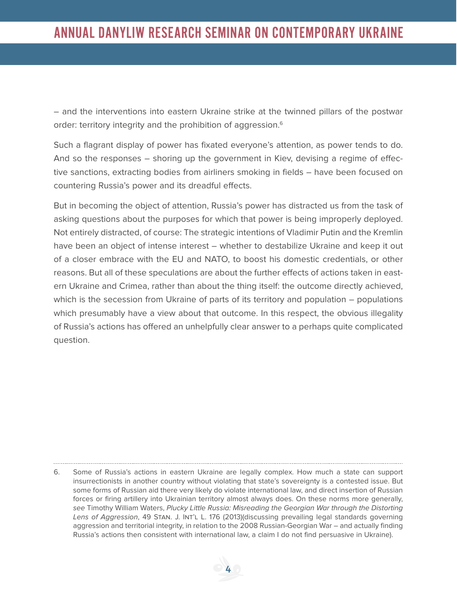– and the interventions into eastern Ukraine strike at the twinned pillars of the postwar order: territory integrity and the prohibition of aggression.<sup>6</sup>

Such a flagrant display of power has fixated everyone's attention, as power tends to do. And so the responses – shoring up the government in Kiev, devising a regime of effective sanctions, extracting bodies from airliners smoking in fields – have been focused on countering Russia's power and its dreadful effects.

But in becoming the object of attention, Russia's power has distracted us from the task of asking questions about the purposes for which that power is being improperly deployed. Not entirely distracted, of course: The strategic intentions of Vladimir Putin and the Kremlin have been an object of intense interest – whether to destabilize Ukraine and keep it out of a closer embrace with the EU and NATO, to boost his domestic credentials, or other reasons. But all of these speculations are about the further effects of actions taken in eastern Ukraine and Crimea, rather than about the thing itself: the outcome directly achieved, which is the secession from Ukraine of parts of its territory and population – populations which presumably have a view about that outcome. In this respect, the obvious illegality of Russia's actions has offered an unhelpfully clear answer to a perhaps quite complicated question.

<sup>6.</sup> Some of Russia's actions in eastern Ukraine are legally complex. How much a state can support insurrectionists in another country without violating that state's sovereignty is a contested issue. But some forms of Russian aid there very likely do violate international law, and direct insertion of Russian forces or firing artillery into Ukrainian territory almost always does. On these norms more generally, see Timothy William Waters, Plucky Little Russia: Misreading the Georgian War through the Distorting Lens of Aggression, 49 STAN. J. INT'L L. 176 (2013)(discussing prevailing legal standards governing aggression and territorial integrity, in relation to the 2008 Russian-Georgian War – and actually finding Russia's actions then consistent with international law, a claim I do not find persuasive in Ukraine).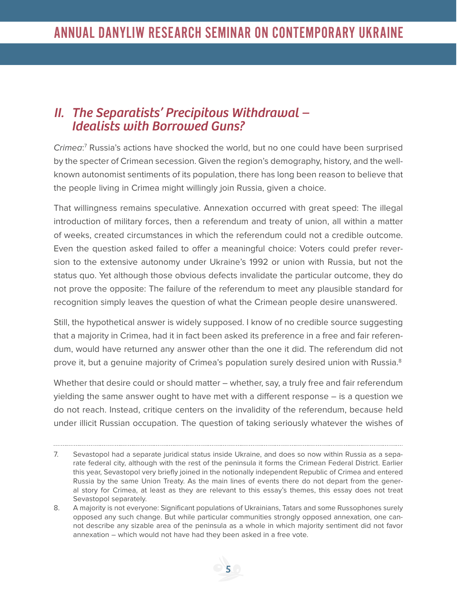#### *II. The Separatists' Precipitous Withdrawal – Idealists with Borrowed Guns?*

Crimea:<sup>7</sup> Russia's actions have shocked the world, but no one could have been surprised by the specter of Crimean secession. Given the region's demography, history, and the wellknown autonomist sentiments of its population, there has long been reason to believe that the people living in Crimea might willingly join Russia, given a choice.

That willingness remains speculative. Annexation occurred with great speed: The illegal introduction of military forces, then a referendum and treaty of union, all within a matter of weeks, created circumstances in which the referendum could not a credible outcome. Even the question asked failed to offer a meaningful choice: Voters could prefer reversion to the extensive autonomy under Ukraine's 1992 or union with Russia, but not the status quo. Yet although those obvious defects invalidate the particular outcome, they do not prove the opposite: The failure of the referendum to meet any plausible standard for recognition simply leaves the question of what the Crimean people desire unanswered.

Still, the hypothetical answer is widely supposed. I know of no credible source suggesting that a majority in Crimea, had it in fact been asked its preference in a free and fair referendum, would have returned any answer other than the one it did. The referendum did not prove it, but a genuine majority of Crimea's population surely desired union with Russia.<sup>8</sup>

Whether that desire could or should matter – whether, say, a truly free and fair referendum yielding the same answer ought to have met with a different response – is a question we do not reach. Instead, critique centers on the invalidity of the referendum, because held under illicit Russian occupation. The question of taking seriously whatever the wishes of

<sup>7.</sup> Sevastopol had a separate juridical status inside Ukraine, and does so now within Russia as a separate federal city, although with the rest of the peninsula it forms the Crimean Federal District. Earlier this year, Sevastopol very briefly joined in the notionally independent Republic of Crimea and entered Russia by the same Union Treaty. As the main lines of events there do not depart from the general story for Crimea, at least as they are relevant to this essay's themes, this essay does not treat Sevastopol separately.

<sup>8.</sup> A majority is not everyone: Significant populations of Ukrainians, Tatars and some Russophones surely opposed any such change. But while particular communities strongly opposed annexation, one cannot describe any sizable area of the peninsula as a whole in which majority sentiment did not favor annexation – which would not have had they been asked in a free vote.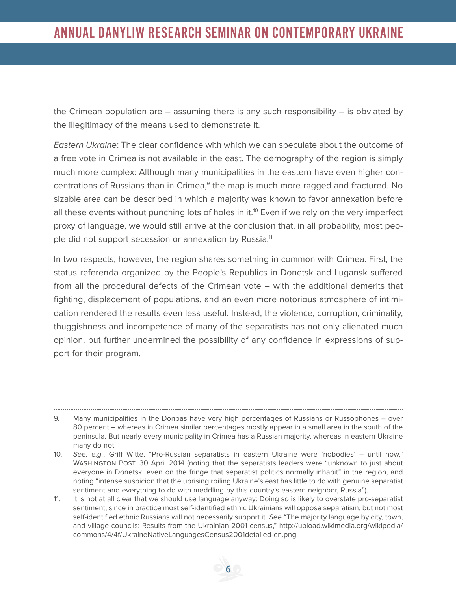the Crimean population are  $-$  assuming there is any such responsibility  $-$  is obviated by the illegitimacy of the means used to demonstrate it.

Eastern Ukraine: The clear confidence with which we can speculate about the outcome of a free vote in Crimea is not available in the east. The demography of the region is simply much more complex: Although many municipalities in the eastern have even higher concentrations of Russians than in Crimea,<sup>9</sup> the map is much more ragged and fractured. No sizable area can be described in which a majority was known to favor annexation before all these events without punching lots of holes in it.<sup>10</sup> Even if we rely on the very imperfect proxy of language, we would still arrive at the conclusion that, in all probability, most people did not support secession or annexation by Russia.<sup>11</sup>

In two respects, however, the region shares something in common with Crimea. First, the status referenda organized by the People's Republics in Donetsk and Lugansk suffered from all the procedural defects of the Crimean vote – with the additional demerits that fighting, displacement of populations, and an even more notorious atmosphere of intimidation rendered the results even less useful. Instead, the violence, corruption, criminality, thuggishness and incompetence of many of the separatists has not only alienated much opinion, but further undermined the possibility of any confidence in expressions of support for their program.

<sup>9.</sup> Many municipalities in the Donbas have very high percentages of Russians or Russophones – over 80 percent – whereas in Crimea similar percentages mostly appear in a small area in the south of the peninsula. But nearly every municipality in Crimea has a Russian majority, whereas in eastern Ukraine many do not.

<sup>10</sup>. See, e.g., Griff Witte, "Pro-Russian separatists in eastern Ukraine were 'nobodies' – until now," WASHINGTON POST, 30 April 2014 (noting that the separatists leaders were "unknown to just about everyone in Donetsk, even on the fringe that separatist politics normally inhabit" in the region, and noting "intense suspicion that the uprising roiling Ukraine's east has little to do with genuine separatist sentiment and everything to do with meddling by this country's eastern neighbor, Russia").

<sup>11.</sup> It is not at all clear that we should use language anyway: Doing so is likely to overstate pro-separatist sentiment, since in practice most self-identified ethnic Ukrainians will oppose separatism, but not most self-identified ethnic Russians will not necessarily support it. See "The majority language by city, town, and village councils: Results from the Ukrainian 2001 census," http://upload.wikimedia.org/wikipedia/ commons/4/4f/UkraineNativeLanguagesCensus2001detailed-en.png.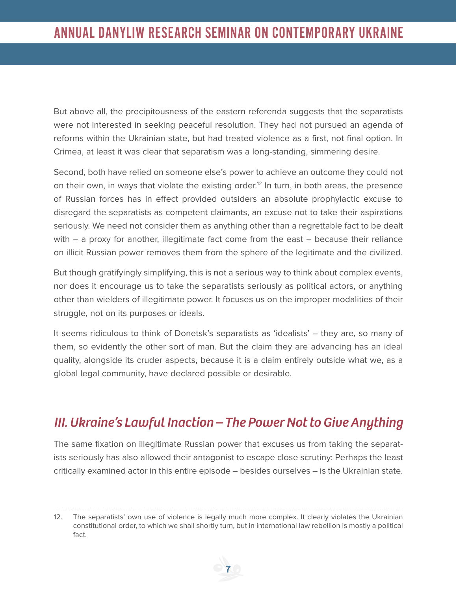But above all, the precipitousness of the eastern referenda suggests that the separatists were not interested in seeking peaceful resolution. They had not pursued an agenda of reforms within the Ukrainian state, but had treated violence as a first, not final option. In Crimea, at least it was clear that separatism was a long-standing, simmering desire.

Second, both have relied on someone else's power to achieve an outcome they could not on their own, in ways that violate the existing order.<sup>12</sup> In turn, in both areas, the presence of Russian forces has in effect provided outsiders an absolute prophylactic excuse to disregard the separatists as competent claimants, an excuse not to take their aspirations seriously. We need not consider them as anything other than a regrettable fact to be dealt with – a proxy for another, illegitimate fact come from the east – because their reliance on illicit Russian power removes them from the sphere of the legitimate and the civilized.

But though gratifyingly simplifying, this is not a serious way to think about complex events, nor does it encourage us to take the separatists seriously as political actors, or anything other than wielders of illegitimate power. It focuses us on the improper modalities of their struggle, not on its purposes or ideals.

It seems ridiculous to think of Donetsk's separatists as 'idealists' – they are, so many of them, so evidently the other sort of man. But the claim they are advancing has an ideal quality, alongside its cruder aspects, because it is a claim entirely outside what we, as a global legal community, have declared possible or desirable.

## *III. Ukraine's Lawful Inaction – The Power Not to Give Anything*

The same fixation on illegitimate Russian power that excuses us from taking the separatists seriously has also allowed their antagonist to escape close scrutiny: Perhaps the least critically examined actor in this entire episode – besides ourselves – is the Ukrainian state.

12. The separatists' own use of violence is legally much more complex. It clearly violates the Ukrainian constitutional order, to which we shall shortly turn, but in international law rebellion is mostly a political fact.

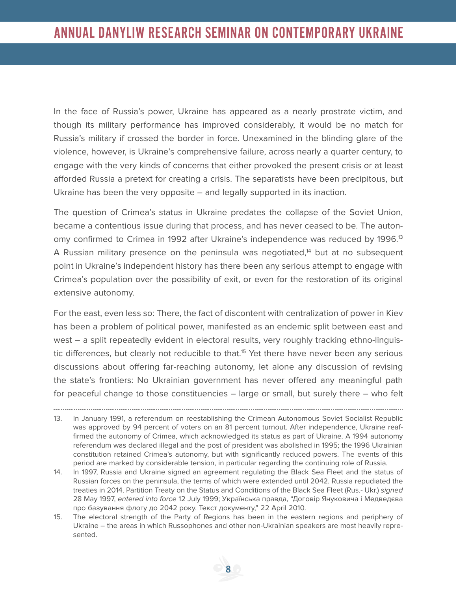In the face of Russia's power, Ukraine has appeared as a nearly prostrate victim, and though its military performance has improved considerably, it would be no match for Russia's military if crossed the border in force. Unexamined in the blinding glare of the violence, however, is Ukraine's comprehensive failure, across nearly a quarter century, to engage with the very kinds of concerns that either provoked the present crisis or at least afforded Russia a pretext for creating a crisis. The separatists have been precipitous, but Ukraine has been the very opposite – and legally supported in its inaction.

The question of Crimea's status in Ukraine predates the collapse of the Soviet Union, became a contentious issue during that process, and has never ceased to be. The autonomy confirmed to Crimea in 1992 after Ukraine's independence was reduced by 1996.13 A Russian military presence on the peninsula was negotiated,<sup>14</sup> but at no subsequent point in Ukraine's independent history has there been any serious attempt to engage with Crimea's population over the possibility of exit, or even for the restoration of its original extensive autonomy.

For the east, even less so: There, the fact of discontent with centralization of power in Kiev has been a problem of political power, manifested as an endemic split between east and west – a split repeatedly evident in electoral results, very roughly tracking ethno-linguistic differences, but clearly not reducible to that.<sup>15</sup> Yet there have never been any serious discussions about offering far-reaching autonomy, let alone any discussion of revising the state's frontiers: No Ukrainian government has never offered any meaningful path for peaceful change to those constituencies – large or small, but surely there – who felt

<sup>13.</sup> In January 1991, a referendum on reestablishing the Crimean Autonomous Soviet Socialist Republic was approved by 94 percent of voters on an 81 percent turnout. After independence, Ukraine reaffirmed the autonomy of Crimea, which acknowledged its status as part of Ukraine. A 1994 autonomy referendum was declared illegal and the post of president was abolished in 1995; the 1996 Ukrainian constitution retained Crimea's autonomy, but with significantly reduced powers. The events of this period are marked by considerable tension, in particular regarding the continuing role of Russia.

<sup>14.</sup> In 1997, Russia and Ukraine signed an agreement regulating the Black Sea Fleet and the status of Russian forces on the peninsula, the terms of which were extended until 2042. Russia repudiated the treaties in 2014. Partition Treaty on the Status and Conditions of the Black Sea Fleet (Rus.- Ukr.) signed 28 May 1997, entered into force 12 July 1999; Українська правда, "Договір Януковича і Медведєва про базування флоту до 2042 року. Текст документу," 22 April 2010.

<sup>15.</sup> The electoral strength of the Party of Regions has been in the eastern regions and periphery of Ukraine – the areas in which Russophones and other non-Ukrainian speakers are most heavily represented.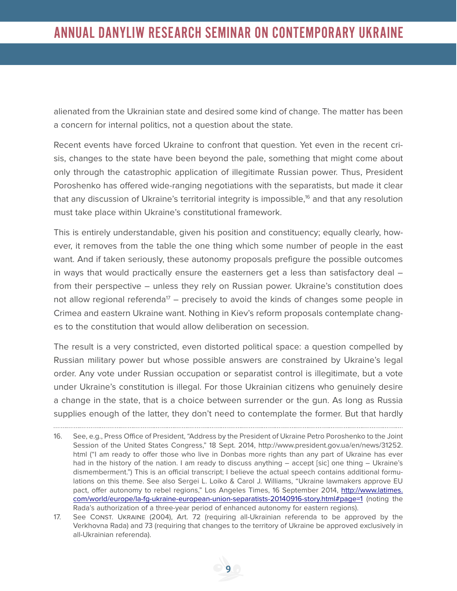alienated from the Ukrainian state and desired some kind of change. The matter has been a concern for internal politics, not a question about the state.

Recent events have forced Ukraine to confront that question. Yet even in the recent crisis, changes to the state have been beyond the pale, something that might come about only through the catastrophic application of illegitimate Russian power. Thus, President Poroshenko has offered wide-ranging negotiations with the separatists, but made it clear that any discussion of Ukraine's territorial integrity is impossible,<sup>16</sup> and that any resolution must take place within Ukraine's constitutional framework.

This is entirely understandable, given his position and constituency; equally clearly, however, it removes from the table the one thing which some number of people in the east want. And if taken seriously, these autonomy proposals prefigure the possible outcomes in ways that would practically ensure the easterners get a less than satisfactory deal – from their perspective – unless they rely on Russian power. Ukraine's constitution does not allow regional referenda<sup>17</sup> – precisely to avoid the kinds of changes some people in Crimea and eastern Ukraine want. Nothing in Kiev's reform proposals contemplate changes to the constitution that would allow deliberation on secession.

The result is a very constricted, even distorted political space: a question compelled by Russian military power but whose possible answers are constrained by Ukraine's legal order. Any vote under Russian occupation or separatist control is illegitimate, but a vote under Ukraine's constitution is illegal. For those Ukrainian citizens who genuinely desire a change in the state, that is a choice between surrender or the gun. As long as Russia supplies enough of the latter, they don't need to contemplate the former. But that hardly

<sup>16.</sup> See, e.g., Press Office of President, "Address by the President of Ukraine Petro Poroshenko to the Joint Session of the United States Congress," 18 Sept. 2014, http://www.president.gov.ua/en/news/31252. html ("I am ready to offer those who live in Donbas more rights than any part of Ukraine has ever had in the history of the nation. I am ready to discuss anything – accept [sic] one thing – Ukraine's dismemberment.") This is an official transcript; I believe the actual speech contains additional formulations on this theme. See also Sergei L. Loiko & Carol J. Williams, "Ukraine lawmakers approve EU pact, offer autonomy to rebel regions," Los Angeles Times, 16 September 2014, http://www.latimes. com/world/europe/la-fg-ukraine-european-union-separatists-20140916-story.html#page=1 (noting the Rada's authorization of a three-year period of enhanced autonomy for eastern regions).

<sup>17.</sup> See Const. Ukraine (2004), Art. 72 (requiring all-Ukrainian referenda to be approved by the Verkhovna Rada) and 73 (requiring that changes to the territory of Ukraine be approved exclusively in all-Ukrainian referenda).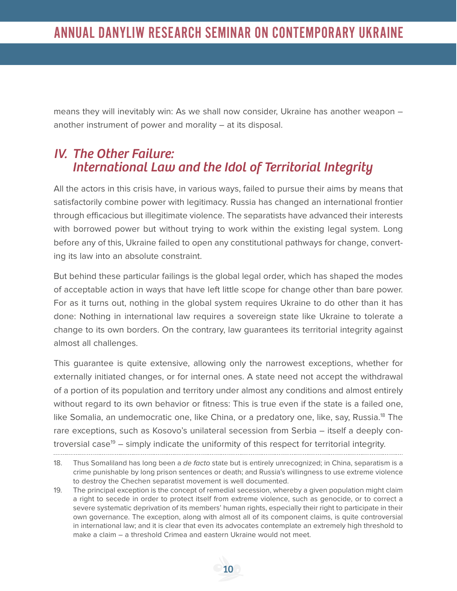means they will inevitably win: As we shall now consider, Ukraine has another weapon – another instrument of power and morality – at its disposal.

#### *IV. The Other Failure: International Law and the Idol of Territorial Integrity*

All the actors in this crisis have, in various ways, failed to pursue their aims by means that satisfactorily combine power with legitimacy. Russia has changed an international frontier through efficacious but illegitimate violence. The separatists have advanced their interests with borrowed power but without trying to work within the existing legal system. Long before any of this, Ukraine failed to open any constitutional pathways for change, converting its law into an absolute constraint.

But behind these particular failings is the global legal order, which has shaped the modes of acceptable action in ways that have left little scope for change other than bare power. For as it turns out, nothing in the global system requires Ukraine to do other than it has done: Nothing in international law requires a sovereign state like Ukraine to tolerate a change to its own borders. On the contrary, law guarantees its territorial integrity against almost all challenges.

This guarantee is quite extensive, allowing only the narrowest exceptions, whether for externally initiated changes, or for internal ones. A state need not accept the withdrawal of a portion of its population and territory under almost any conditions and almost entirely without regard to its own behavior or fitness: This is true even if the state is a failed one, like Somalia, an undemocratic one, like China, or a predatory one, like, say, Russia.<sup>18</sup> The rare exceptions, such as Kosovo's unilateral secession from Serbia – itself a deeply controversial case<sup>19</sup> – simply indicate the uniformity of this respect for territorial integrity. 

<sup>18.</sup> Thus Somaliland has long been a de facto state but is entirely unrecognized; in China, separatism is a crime punishable by long prison sentences or death; and Russia's willingness to use extreme violence to destroy the Chechen separatist movement is well documented.

<sup>19.</sup> The principal exception is the concept of remedial secession, whereby a given population might claim a right to secede in order to protect itself from extreme violence, such as genocide, or to correct a severe systematic deprivation of its members' human rights, especially their right to participate in their own governance. The exception, along with almost all of its component claims, is quite controversial in international law; and it is clear that even its advocates contemplate an extremely high threshold to make a claim – a threshold Crimea and eastern Ukraine would not meet.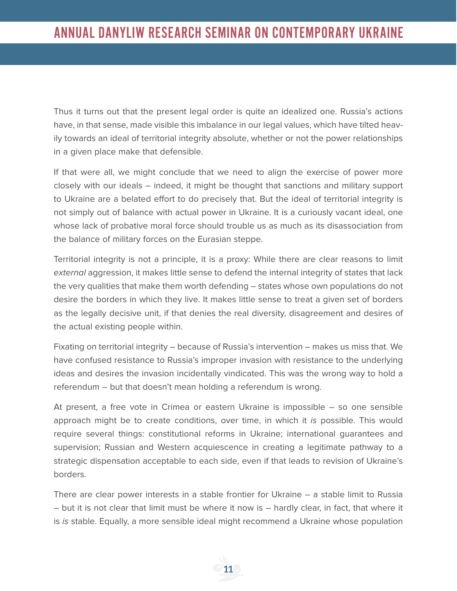Thus it turns out that the present legal order is quite an idealized one. Russia's actions have, in that sense, made visible this imbalance in our legal values, which have tilted heavily towards an ideal of territorial integrity absolute, whether or not the power relationships in a given place make that defensible.

If that were all, we might conclude that we need to align the exercise of power more closely with our ideals – indeed, it might be thought that sanctions and military support to Ukraine are a belated effort to do precisely that. But the ideal of territorial integrity is not simply out of balance with actual power in Ukraine. It is a curiously vacant ideal, one whose lack of probative moral force should trouble us as much as its disassociation from the balance of military forces on the Eurasian steppe.

Territorial integrity is not a principle, it is a proxy: While there are clear reasons to limit external aggression, it makes little sense to defend the internal integrity of states that lack the very qualities that make them worth defending – states whose own populations do not desire the borders in which they live. It makes little sense to treat a given set of borders as the legally decisive unit, if that denies the real diversity, disagreement and desires of the actual existing people within.

Fixating on territorial integrity – because of Russia's intervention – makes us miss that. We have confused resistance to Russia's improper invasion with resistance to the underlying ideas and desires the invasion incidentally vindicated. This was the wrong way to hold a referendum – but that doesn't mean holding a referendum is wrong.

At present, a free vote in Crimea or eastern Ukraine is impossible – so one sensible approach might be to create conditions, over time, in which it is possible. This would require several things: constitutional reforms in Ukraine; international guarantees and supervision; Russian and Western acquiescence in creating a legitimate pathway to a strategic dispensation acceptable to each side, even if that leads to revision of Ukraine's borders.

There are clear power interests in a stable frontier for Ukraine – a stable limit to Russia – but it is not clear that limit must be where it now is – hardly clear, in fact, that where it is is stable. Equally, a more sensible ideal might recommend a Ukraine whose population